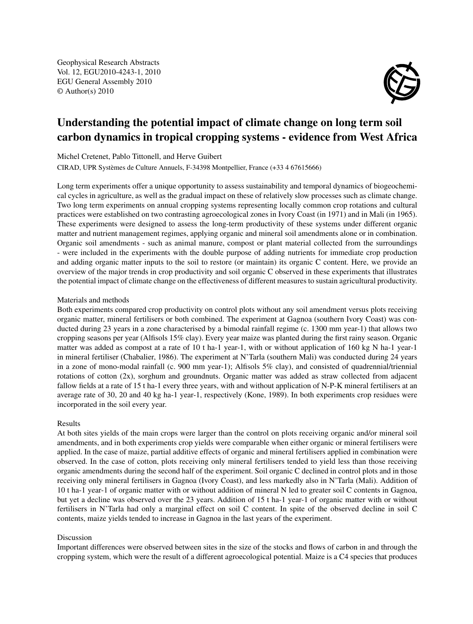Geophysical Research Abstracts Vol. 12, EGU2010-4243-1, 2010 EGU General Assembly 2010 © Author(s) 2010



## Understanding the potential impact of climate change on long term soil carbon dynamics in tropical cropping systems - evidence from West Africa

Michel Cretenet, Pablo Tittonell, and Herve Guibert

CIRAD, UPR Systèmes de Culture Annuels, F-34398 Montpellier, France (+33 4 67615666)

Long term experiments offer a unique opportunity to assess sustainability and temporal dynamics of biogeochemical cycles in agriculture, as well as the gradual impact on these of relatively slow processes such as climate change. Two long term experiments on annual cropping systems representing locally common crop rotations and cultural practices were established on two contrasting agroecological zones in Ivory Coast (in 1971) and in Mali (in 1965). These experiments were designed to assess the long-term productivity of these systems under different organic matter and nutrient management regimes, applying organic and mineral soil amendments alone or in combination. Organic soil amendments - such as animal manure, compost or plant material collected from the surroundings - were included in the experiments with the double purpose of adding nutrients for immediate crop production and adding organic matter inputs to the soil to restore (or maintain) its organic C content. Here, we provide an overview of the major trends in crop productivity and soil organic C observed in these experiments that illustrates the potential impact of climate change on the effectiveness of different measures to sustain agricultural productivity.

## Materials and methods

Both experiments compared crop productivity on control plots without any soil amendment versus plots receiving organic matter, mineral fertilisers or both combined. The experiment at Gagnoa (southern Ivory Coast) was conducted during 23 years in a zone characterised by a bimodal rainfall regime (c. 1300 mm year-1) that allows two cropping seasons per year (Alfisols 15% clay). Every year maize was planted during the first rainy season. Organic matter was added as compost at a rate of 10 t ha-1 year-1, with or without application of 160 kg N ha-1 year-1 in mineral fertiliser (Chabalier, 1986). The experiment at N'Tarla (southern Mali) was conducted during 24 years in a zone of mono-modal rainfall (c. 900 mm year-1); Alfisols 5% clay), and consisted of quadrennial/triennial rotations of cotton  $(2x)$ , sorghum and groundnuts. Organic matter was added as straw collected from adjacent fallow fields at a rate of 15 t ha-1 every three years, with and without application of N-P-K mineral fertilisers at an average rate of 30, 20 and 40 kg ha-1 year-1, respectively (Kone, 1989). In both experiments crop residues were incorporated in the soil every year.

## Results

At both sites yields of the main crops were larger than the control on plots receiving organic and/or mineral soil amendments, and in both experiments crop yields were comparable when either organic or mineral fertilisers were applied. In the case of maize, partial additive effects of organic and mineral fertilisers applied in combination were observed. In the case of cotton, plots receiving only mineral fertilisers tended to yield less than those receiving organic amendments during the second half of the experiment. Soil organic C declined in control plots and in those receiving only mineral fertilisers in Gagnoa (Ivory Coast), and less markedly also in N'Tarla (Mali). Addition of 10 t ha-1 year-1 of organic matter with or without addition of mineral N led to greater soil C contents in Gagnoa, but yet a decline was observed over the 23 years. Addition of 15 t ha-1 year-1 of organic matter with or without fertilisers in N'Tarla had only a marginal effect on soil C content. In spite of the observed decline in soil C contents, maize yields tended to increase in Gagnoa in the last years of the experiment.

## Discussion

Important differences were observed between sites in the size of the stocks and flows of carbon in and through the cropping system, which were the result of a different agroecological potential. Maize is a C4 species that produces